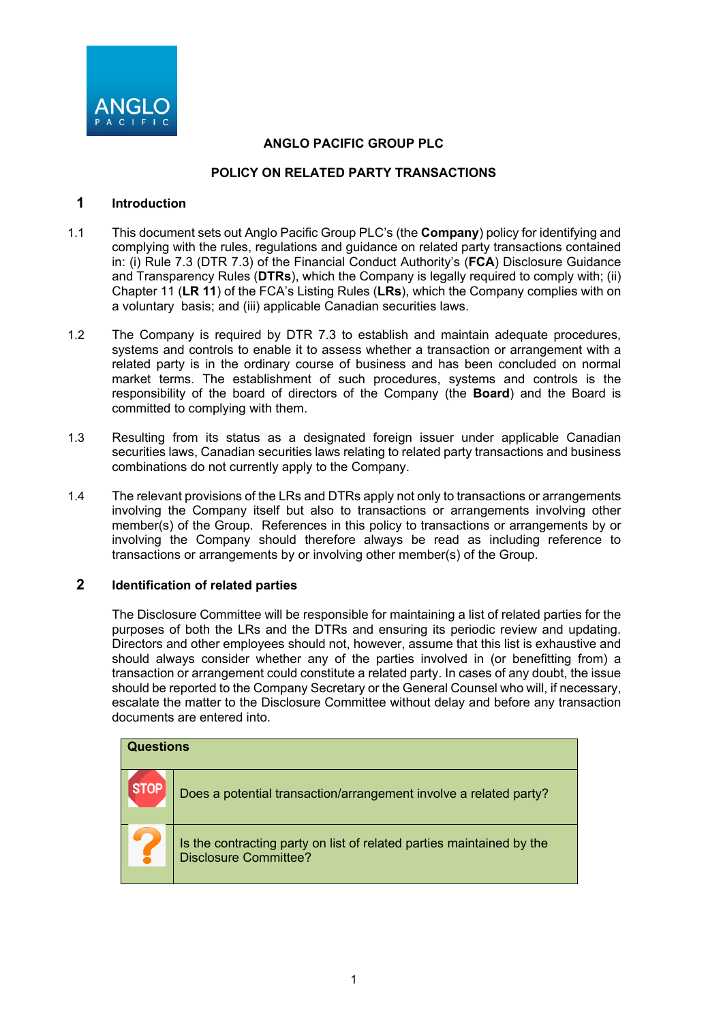

# **ANGLO PACIFIC GROUP PLC**

### **POLICY ON RELATED PARTY TRANSACTIONS**

### **1 Introduction**

- 1.1 This document sets out Anglo Pacific Group PLC's (the **Company**) policy for identifying and complying with the rules, regulations and guidance on related party transactions contained in: (i) Rule 7.3 (DTR 7.3) of the Financial Conduct Authority's (**FCA**) Disclosure Guidance and Transparency Rules (**DTRs**), which the Company is legally required to comply with; (ii) Chapter 11 (**LR 11**) of the FCA's Listing Rules (**LRs**), which the Company complies with on a voluntary basis; and (iii) applicable Canadian securities laws.
- 1.2 The Company is required by DTR 7.3 to establish and maintain adequate procedures, systems and controls to enable it to assess whether a transaction or arrangement with a related party is in the ordinary course of business and has been concluded on normal market terms. The establishment of such procedures, systems and controls is the responsibility of the board of directors of the Company (the **Board**) and the Board is committed to complying with them.
- 1.3 Resulting from its status as a designated foreign issuer under applicable Canadian securities laws, Canadian securities laws relating to related party transactions and business combinations do not currently apply to the Company.
- 1.4 The relevant provisions of the LRs and DTRs apply not only to transactions or arrangements involving the Company itself but also to transactions or arrangements involving other member(s) of the Group. References in this policy to transactions or arrangements by or involving the Company should therefore always be read as including reference to transactions or arrangements by or involving other member(s) of the Group.

### **2 Identification of related parties**

The Disclosure Committee will be responsible for maintaining a list of related parties for the purposes of both the LRs and the DTRs and ensuring its periodic review and updating. Directors and other employees should not, however, assume that this list is exhaustive and should always consider whether any of the parties involved in (or benefitting from) a transaction or arrangement could constitute a related party. In cases of any doubt, the issue should be reported to the Company Secretary or the General Counsel who will, if necessary, escalate the matter to the Disclosure Committee without delay and before any transaction documents are entered into.

| <b>Questions</b> |                                                                                                       |
|------------------|-------------------------------------------------------------------------------------------------------|
| TOF              | Does a potential transaction/arrangement involve a related party?                                     |
|                  | Is the contracting party on list of related parties maintained by the<br><b>Disclosure Committee?</b> |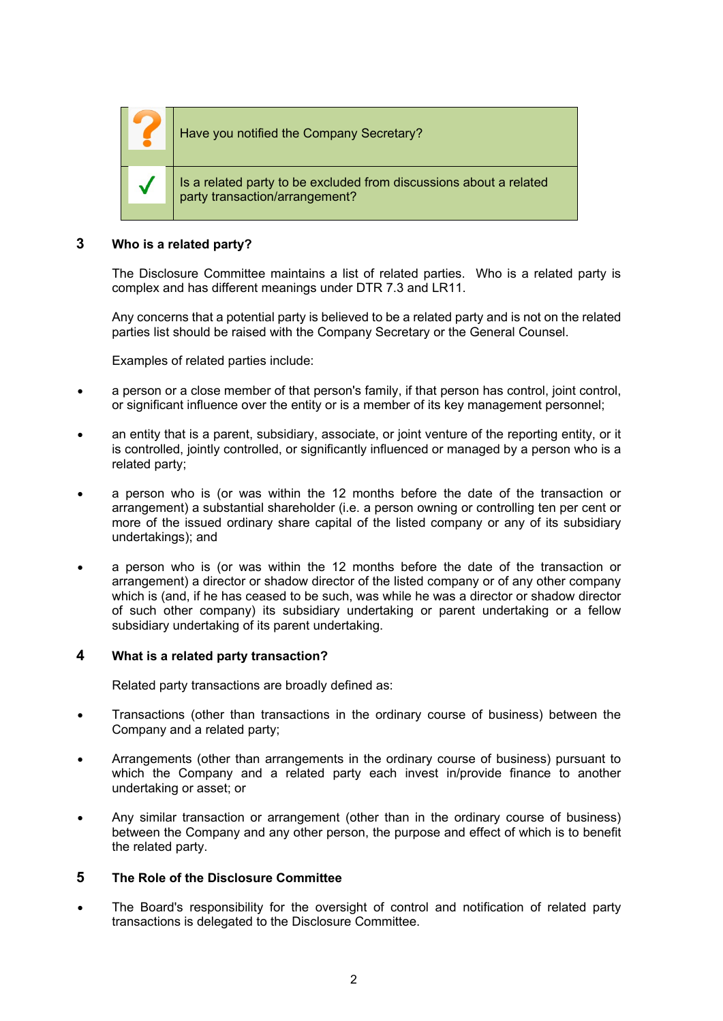

Have you notified the Company Secretary?

Is a related party to be excluded from discussions about a related party transaction/arrangement?

# **3 Who is a related party?**

The Disclosure Committee maintains a list of related parties. Who is a related party is complex and has different meanings under DTR 7.3 and LR11.

Any concerns that a potential party is believed to be a related party and is not on the related parties list should be raised with the Company Secretary or the General Counsel.

Examples of related parties include:

- a person or a close member of that person's family, if that person has control, joint control, or significant influence over the entity or is a member of its key management personnel;
- an entity that is a parent, subsidiary, associate, or joint venture of the reporting entity, or it is controlled, jointly controlled, or significantly influenced or managed by a person who is a related party;
- a person who is (or was within the 12 months before the date of the transaction or arrangement) a substantial shareholder (i.e. a person owning or controlling ten per cent or more of the issued ordinary share capital of the listed company or any of its subsidiary undertakings); and
- a person who is (or was within the 12 months before the date of the transaction or arrangement) a director or shadow director of the listed company or of any other company which is (and, if he has ceased to be such, was while he was a director or shadow director of such other company) its subsidiary undertaking or parent undertaking or a fellow subsidiary undertaking of its parent undertaking.

### **4 What is a related party transaction?**

Related party transactions are broadly defined as:

- Transactions (other than transactions in the ordinary course of business) between the Company and a related party;
- Arrangements (other than arrangements in the ordinary course of business) pursuant to which the Company and a related party each invest in/provide finance to another undertaking or asset; or
- Any similar transaction or arrangement (other than in the ordinary course of business) between the Company and any other person, the purpose and effect of which is to benefit the related party.

# **5 The Role of the Disclosure Committee**

The Board's responsibility for the oversight of control and notification of related party transactions is delegated to the Disclosure Committee.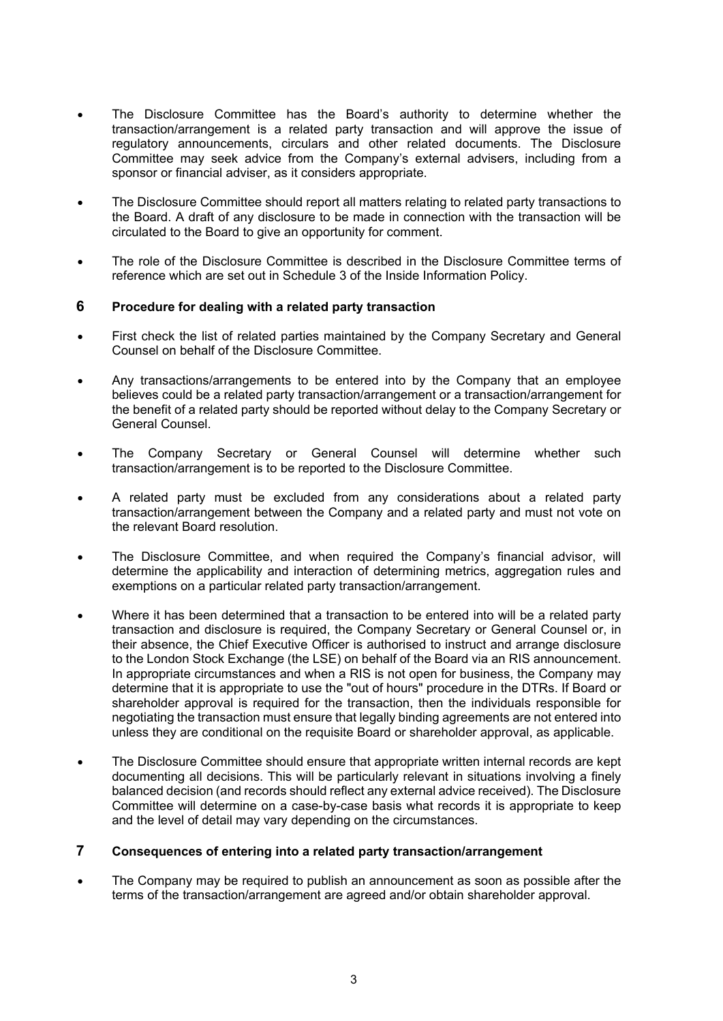- The Disclosure Committee has the Board's authority to determine whether the transaction/arrangement is a related party transaction and will approve the issue of regulatory announcements, circulars and other related documents. The Disclosure Committee may seek advice from the Company's external advisers, including from a sponsor or financial adviser, as it considers appropriate.
- The Disclosure Committee should report all matters relating to related party transactions to the Board. A draft of any disclosure to be made in connection with the transaction will be circulated to the Board to give an opportunity for comment.
- The role of the Disclosure Committee is described in the Disclosure Committee terms of reference which are set out in Schedule 3 of the Inside Information Policy.

### **6 Procedure for dealing with a related party transaction**

- First check the list of related parties maintained by the Company Secretary and General Counsel on behalf of the Disclosure Committee.
- Any transactions/arrangements to be entered into by the Company that an employee believes could be a related party transaction/arrangement or a transaction/arrangement for the benefit of a related party should be reported without delay to the Company Secretary or General Counsel.
- The Company Secretary or General Counsel will determine whether such transaction/arrangement is to be reported to the Disclosure Committee.
- A related party must be excluded from any considerations about a related party transaction/arrangement between the Company and a related party and must not vote on the relevant Board resolution.
- The Disclosure Committee, and when required the Company's financial advisor, will determine the applicability and interaction of determining metrics, aggregation rules and exemptions on a particular related party transaction/arrangement.
- Where it has been determined that a transaction to be entered into will be a related party transaction and disclosure is required, the Company Secretary or General Counsel or, in their absence, the Chief Executive Officer is authorised to instruct and arrange disclosure to the London Stock Exchange (the LSE) on behalf of the Board via an RIS announcement. In appropriate circumstances and when a RIS is not open for business, the Company may determine that it is appropriate to use the "out of hours" procedure in the DTRs. If Board or shareholder approval is required for the transaction, then the individuals responsible for negotiating the transaction must ensure that legally binding agreements are not entered into unless they are conditional on the requisite Board or shareholder approval, as applicable.
- The Disclosure Committee should ensure that appropriate written internal records are kept documenting all decisions. This will be particularly relevant in situations involving a finely balanced decision (and records should reflect any external advice received). The Disclosure Committee will determine on a case-by-case basis what records it is appropriate to keep and the level of detail may vary depending on the circumstances.

# **7 Consequences of entering into a related party transaction/arrangement**

The Company may be required to publish an announcement as soon as possible after the terms of the transaction/arrangement are agreed and/or obtain shareholder approval.